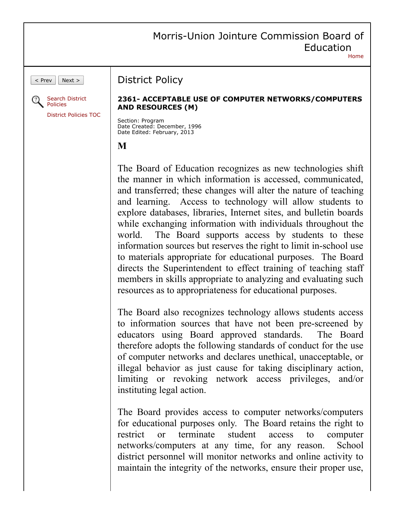## Morris-Union Jointure Commission Board of Education [Home](https://www.straussesmay.com/seportal/Public/pubElanOnline.aspx?id=7d147b08a92148acabedc71e0d200241)

 $\vert$  Prev  $\vert$  Next >



[District Policies TOC](https://www.straussesmay.com/seportal/Public/districtpolicyTOC.aspx?id=7d147b08a92148acabedc71e0d200241)

## **2361- ACCEPTABLE USE OF COMPUTER NETWORKS/COMPUTERS AND RESOURCES (M)**

Section: Program Date Created: December, 1996 Date Edited: February, 2013

District Policy

**M**

The Board of Education recognizes as new technologies shift the manner in which information is accessed, communicated, and transferred; these changes will alter the nature of teaching and learning. Access to technology will allow students to explore databases, libraries, Internet sites, and bulletin boards while exchanging information with individuals throughout the world. The Board supports access by students to these information sources but reserves the right to limit in-school use to materials appropriate for educational purposes. The Board directs the Superintendent to effect training of teaching staff members in skills appropriate to analyzing and evaluating such resources as to appropriateness for educational purposes.

The Board also recognizes technology allows students access to information sources that have not been pre-screened by educators using Board approved standards. The Board therefore adopts the following standards of conduct for the use of computer networks and declares unethical, unacceptable, or illegal behavior as just cause for taking disciplinary action, limiting or revoking network access privileges, and/or instituting legal action.

The Board provides access to computer networks/computers for educational purposes only. The Board retains the right to restrict or terminate student access to computer networks/computers at any time, for any reason. School district personnel will monitor networks and online activity to maintain the integrity of the networks, ensure their proper use,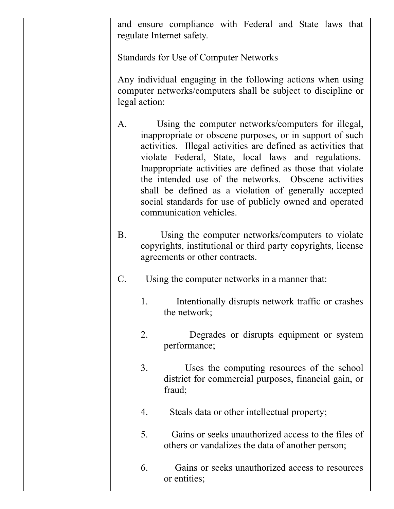and ensure compliance with Federal and State laws that regulate Internet safety.

Standards for Use of Computer Networks

Any individual engaging in the following actions when using computer networks/computers shall be subject to discipline or legal action:

- A. Using the computer networks/computers for illegal, inappropriate or obscene purposes, or in support of such activities. Illegal activities are defined as activities that violate Federal, State, local laws and regulations. Inappropriate activities are defined as those that violate the intended use of the networks. Obscene activities shall be defined as a violation of generally accepted social standards for use of publicly owned and operated communication vehicles.
- B. Using the computer networks/computers to violate copyrights, institutional or third party copyrights, license agreements or other contracts.
- C. Using the computer networks in a manner that:
	- 1. Intentionally disrupts network traffic or crashes the network;
	- 2. Degrades or disrupts equipment or system performance;
	- 3. Uses the computing resources of the school district for commercial purposes, financial gain, or fraud;
	- 4. Steals data or other intellectual property;
	- 5. Gains or seeks unauthorized access to the files of others or vandalizes the data of another person;
	- 6. Gains or seeks unauthorized access to resources or entities;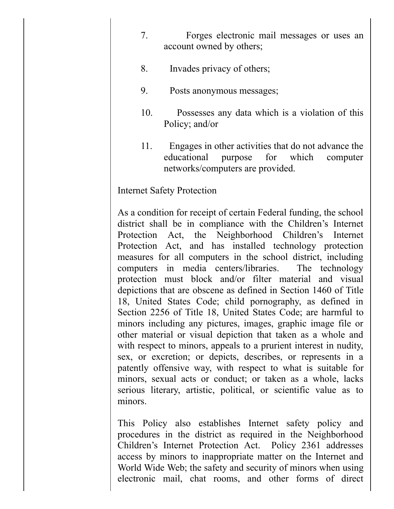- 7. Forges electronic mail messages or uses an account owned by others;
- 8. Invades privacy of others;
- 9. Posts anonymous messages;
- 10. Possesses any data which is a violation of this Policy; and/or
- 11. Engages in other activities that do not advance the educational purpose for which computer networks/computers are provided.

## Internet Safety Protection

As a condition for receipt of certain Federal funding, the school district shall be in compliance with the Children's Internet Protection Act, the Neighborhood Children's Internet Protection Act, and has installed technology protection measures for all computers in the school district, including computers in media centers/libraries. The technology protection must block and/or filter material and visual depictions that are obscene as defined in Section 1460 of Title 18, United States Code; child pornography, as defined in Section 2256 of Title 18, United States Code; are harmful to minors including any pictures, images, graphic image file or other material or visual depiction that taken as a whole and with respect to minors, appeals to a prurient interest in nudity, sex, or excretion; or depicts, describes, or represents in a patently offensive way, with respect to what is suitable for minors, sexual acts or conduct; or taken as a whole, lacks serious literary, artistic, political, or scientific value as to minors.

This Policy also establishes Internet safety policy and procedures in the district as required in the Neighborhood Children's Internet Protection Act. Policy 2361 addresses access by minors to inappropriate matter on the Internet and World Wide Web; the safety and security of minors when using electronic mail, chat rooms, and other forms of direct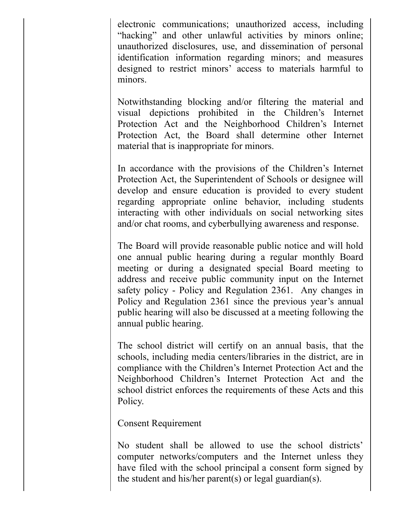electronic communications; unauthorized access, including "hacking" and other unlawful activities by minors online; unauthorized disclosures, use, and dissemination of personal identification information regarding minors; and measures designed to restrict minors' access to materials harmful to minors.

Notwithstanding blocking and/or filtering the material and visual depictions prohibited in the Children's Internet Protection Act and the Neighborhood Children's Internet Protection Act, the Board shall determine other Internet material that is inappropriate for minors.

In accordance with the provisions of the Children's Internet Protection Act, the Superintendent of Schools or designee will develop and ensure education is provided to every student regarding appropriate online behavior, including students interacting with other individuals on social networking sites and/or chat rooms, and cyberbullying awareness and response.

The Board will provide reasonable public notice and will hold one annual public hearing during a regular monthly Board meeting or during a designated special Board meeting to address and receive public community input on the Internet safety policy - Policy and Regulation 2361. Any changes in Policy and Regulation 2361 since the previous year's annual public hearing will also be discussed at a meeting following the annual public hearing.

The school district will certify on an annual basis, that the schools, including media centers/libraries in the district, are in compliance with the Children's Internet Protection Act and the Neighborhood Children's Internet Protection Act and the school district enforces the requirements of these Acts and this Policy.

Consent Requirement

No student shall be allowed to use the school districts' computer networks/computers and the Internet unless they have filed with the school principal a consent form signed by the student and his/her parent(s) or legal guardian(s).